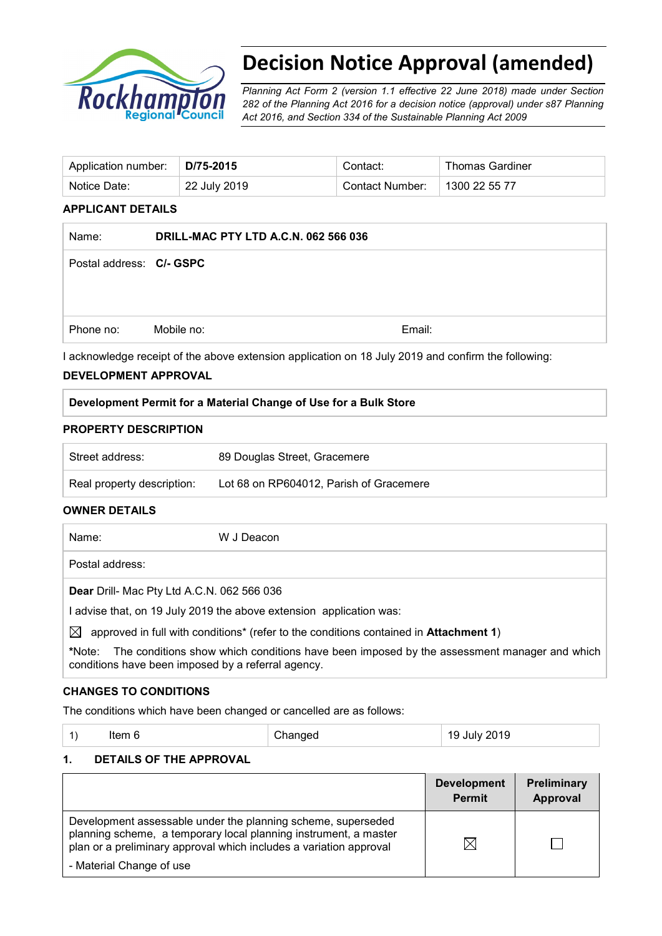

# **Decision Notice Approval (amended)**

*Planning Act Form 2 (version 1.1 effective 22 June 2018) made under Section 282 of the Planning Act 2016 for a decision notice (approval) under s87 Planning Act 2016, and Section 334 of the Sustainable Planning Act 2009*

| Contact Number:<br>22 July 2019<br>Notice Date: | 1300 22 55 77 |
|-------------------------------------------------|---------------|

#### **APPLICANT DETAILS**

| Name:                    | <b>DRILL-MAC PTY LTD A.C.N. 062 566 036</b> |        |
|--------------------------|---------------------------------------------|--------|
| Postal address: C/- GSPC |                                             |        |
|                          |                                             |        |
|                          |                                             |        |
| Phone no:                | Mobile no:                                  | Email: |
|                          |                                             |        |

I acknowledge receipt of the above extension application on 18 July 2019 and confirm the following:

### **DEVELOPMENT APPROVAL**

### **Development Permit for a Material Change of Use for a Bulk Store**

#### **PROPERTY DESCRIPTION**

| Street address:            | 89 Douglas Street, Gracemere            |
|----------------------------|-----------------------------------------|
| Real property description: | Lot 68 on RP604012, Parish of Gracemere |

# **OWNER DETAILS**

| Name:                                                             | W J Deacon |  |
|-------------------------------------------------------------------|------------|--|
| Postal address:                                                   |            |  |
| Dear Drill- Mac Pty Ltd A.C.N. 062 566 036                        |            |  |
| advise that, on 19 July 2019 the above extension application was: |            |  |

 $\boxtimes$  approved in full with conditions<sup>\*</sup> (refer to the conditions contained in **Attachment 1**)

**\***Note:The conditions show which conditions have been imposed by the assessment manager and which conditions have been imposed by a referral agency.

# **CHANGES TO CONDITIONS**

The conditions which have been changed or cancelled are as follows:

| 19 July 2019<br>Changed<br>$\left( \begin{array}{c} 1 \end{array} \right)$<br>Item 6 |  |
|--------------------------------------------------------------------------------------|--|
|--------------------------------------------------------------------------------------|--|

### **1. DETAILS OF THE APPROVAL**

|                                                                                                                                                                                                                                    | <b>Development</b><br><b>Permit</b> | Preliminary<br>Approval |
|------------------------------------------------------------------------------------------------------------------------------------------------------------------------------------------------------------------------------------|-------------------------------------|-------------------------|
| Development assessable under the planning scheme, superseded<br>planning scheme, a temporary local planning instrument, a master<br>plan or a preliminary approval which includes a variation approval<br>- Material Change of use | $\boxtimes$                         |                         |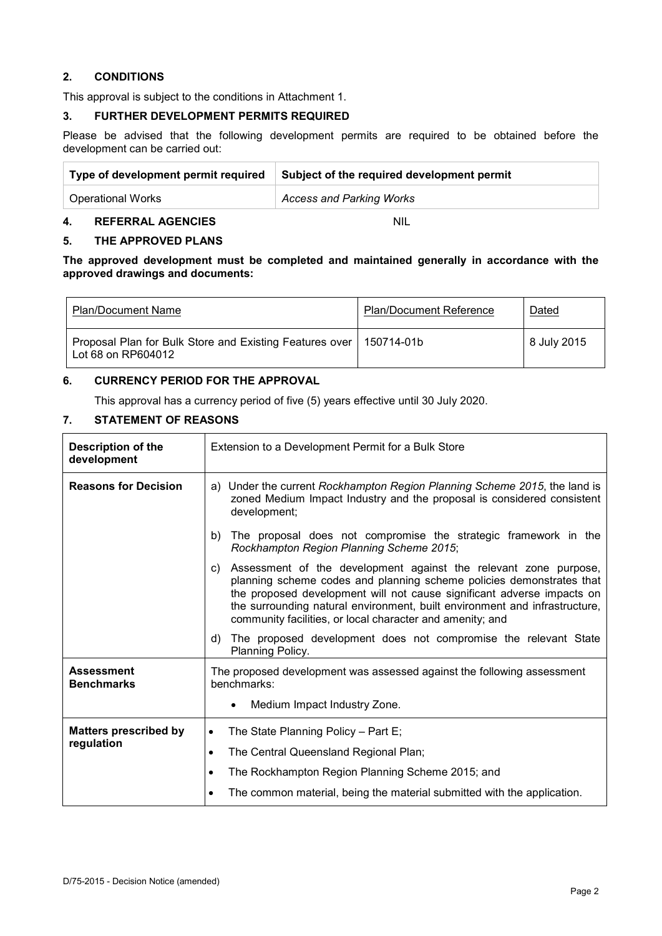# **2. CONDITIONS**

This approval is subject to the conditions in Attachment 1.

# **3. FURTHER DEVELOPMENT PERMITS REQUIRED**

Please be advised that the following development permits are required to be obtained before the development can be carried out:

| Type of development permit required | Subject of the required development permit |  |
|-------------------------------------|--------------------------------------------|--|
| <b>Operational Works</b>            | <b>Access and Parking Works</b>            |  |

### **4. REFERRAL AGENCIES** NIL

### **5. THE APPROVED PLANS**

**The approved development must be completed and maintained generally in accordance with the approved drawings and documents:**

| <b>Plan/Document Name</b>                                                     | <b>Plan/Document Reference</b> | Dated       |
|-------------------------------------------------------------------------------|--------------------------------|-------------|
| Proposal Plan for Bulk Store and Existing Features over<br>Lot 68 on RP604012 | 150714-01b                     | 8 July 2015 |

### **6. CURRENCY PERIOD FOR THE APPROVAL**

This approval has a currency period of five (5) years effective until 30 July 2020.

## **7. STATEMENT OF REASONS**

| <b>Description of the</b><br>development | Extension to a Development Permit for a Bulk Store                                                                                                                                                                                                                                                                                                                  |  |  |
|------------------------------------------|---------------------------------------------------------------------------------------------------------------------------------------------------------------------------------------------------------------------------------------------------------------------------------------------------------------------------------------------------------------------|--|--|
| <b>Reasons for Decision</b>              | Under the current Rockhampton Region Planning Scheme 2015, the land is<br>a)<br>zoned Medium Impact Industry and the proposal is considered consistent<br>development;                                                                                                                                                                                              |  |  |
|                                          | The proposal does not compromise the strategic framework in the<br>b)<br>Rockhampton Region Planning Scheme 2015;                                                                                                                                                                                                                                                   |  |  |
|                                          | Assessment of the development against the relevant zone purpose,<br>C)<br>planning scheme codes and planning scheme policies demonstrates that<br>the proposed development will not cause significant adverse impacts on<br>the surrounding natural environment, built environment and infrastructure,<br>community facilities, or local character and amenity; and |  |  |
|                                          | The proposed development does not compromise the relevant State<br>d)<br>Planning Policy.                                                                                                                                                                                                                                                                           |  |  |
| <b>Assessment</b><br><b>Benchmarks</b>   | The proposed development was assessed against the following assessment<br>benchmarks:<br>Medium Impact Industry Zone.<br>$\bullet$                                                                                                                                                                                                                                  |  |  |
| <b>Matters prescribed by</b>             | The State Planning Policy - Part E;<br>$\bullet$                                                                                                                                                                                                                                                                                                                    |  |  |
| regulation                               | The Central Queensland Regional Plan;<br>$\bullet$                                                                                                                                                                                                                                                                                                                  |  |  |
|                                          | The Rockhampton Region Planning Scheme 2015; and<br>$\bullet$                                                                                                                                                                                                                                                                                                       |  |  |
|                                          | The common material, being the material submitted with the application.<br>$\bullet$                                                                                                                                                                                                                                                                                |  |  |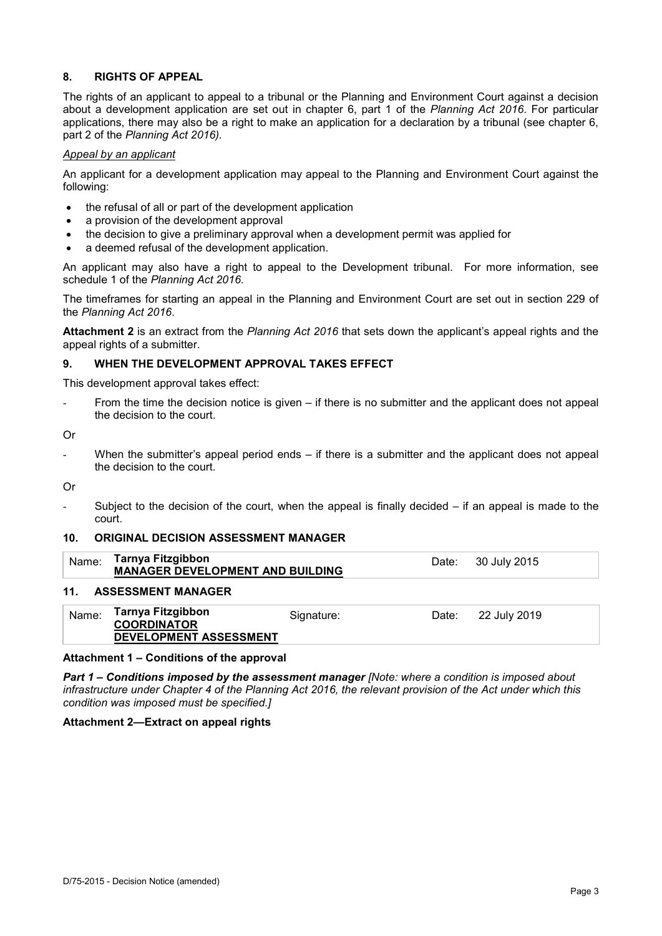# **8. RIGHTS OF APPEAL**

The rights of an applicant to appeal to a tribunal or the Planning and Environment Court against a decision about a development application are set out in chapter 6, part 1 of the *Planning Act 2016*. For particular applications, there may also be a right to make an application for a declaration by a tribunal (see chapter 6, part 2 of the *Planning Act 2016).*

#### *Appeal by an applicant*

An applicant for a development application may appeal to the Planning and Environment Court against the following:

- the refusal of all or part of the development application
- a provision of the development approval
- the decision to give a preliminary approval when a development permit was applied for
- a deemed refusal of the development application.

An applicant may also have a right to appeal to the Development tribunal. For more information, see schedule 1 of the *Planning Act 2016*.

The timeframes for starting an appeal in the Planning and Environment Court are set out in section 229 of the *Planning Act 2016*.

**Attachment 2** is an extract from the *Planning Act 2016* that sets down the applicant's appeal rights and the appeal rights of a submitter.

### **9. WHEN THE DEVELOPMENT APPROVAL TAKES EFFECT**

This development approval takes effect:

From the time the decision notice is given – if there is no submitter and the applicant does not appeal the decision to the court.

Or

When the submitter's appeal period ends  $-$  if there is a submitter and the applicant does not appeal the decision to the court.

Or

Subject to the decision of the court, when the appeal is finally decided  $-$  if an appeal is made to the court.

#### **10. ORIGINAL DECISION ASSESSMENT MANAGER**

| Name: | Tarnya Fitzgibbon<br><b>MANAGER DEVELOPMENT AND BUILDING</b>             |            |       | Date: 30 July 2015 |  |
|-------|--------------------------------------------------------------------------|------------|-------|--------------------|--|
| 11.   | <b>ASSESSMENT MANAGER</b>                                                |            |       |                    |  |
| Name: | <b>Tarnya Fitzgibbon</b><br><b>COORDINATOR</b><br>DEVELOPMENT ASSESSMENT | Signature: | Date: | 22 July 2019       |  |

#### **Attachment 1 – Conditions of the approval**

*Part 1* **–** *Conditions imposed by the assessment manager [Note: where a condition is imposed about infrastructure under Chapter 4 of the Planning Act 2016, the relevant provision of the Act under which this condition was imposed must be specified.]*

#### **Attachment 2—Extract on appeal rights**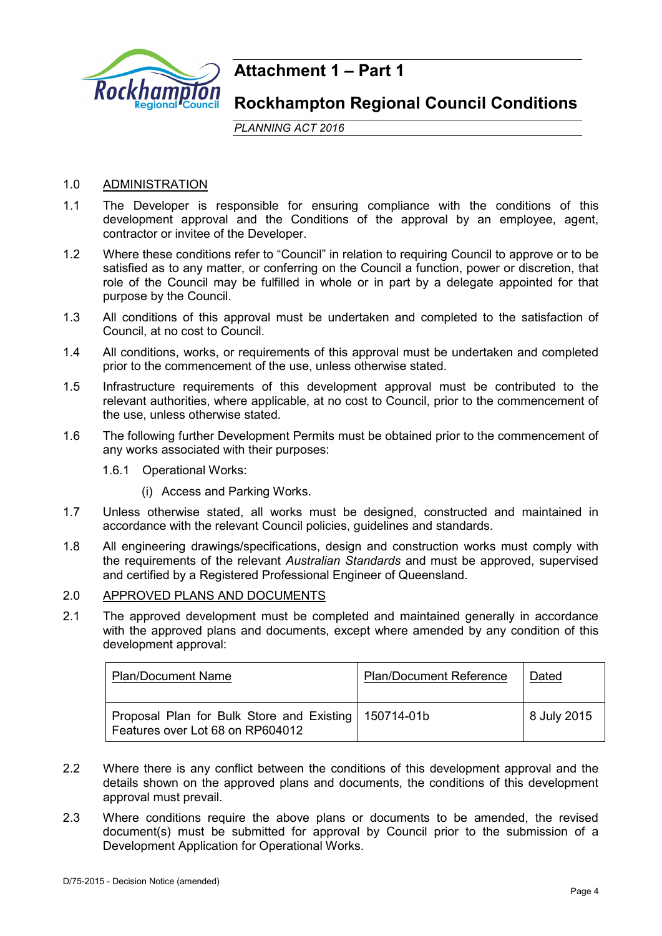

# **Attachment 1 – Part 1**

# **Rockhampton Regional Council Conditions**

*PLANNING ACT 2016*

# 1.0 ADMINISTRATION

- 1.1 The Developer is responsible for ensuring compliance with the conditions of this development approval and the Conditions of the approval by an employee, agent, contractor or invitee of the Developer.
- 1.2 Where these conditions refer to "Council" in relation to requiring Council to approve or to be satisfied as to any matter, or conferring on the Council a function, power or discretion, that role of the Council may be fulfilled in whole or in part by a delegate appointed for that purpose by the Council.
- 1.3 All conditions of this approval must be undertaken and completed to the satisfaction of Council, at no cost to Council.
- 1.4 All conditions, works, or requirements of this approval must be undertaken and completed prior to the commencement of the use, unless otherwise stated.
- 1.5 Infrastructure requirements of this development approval must be contributed to the relevant authorities, where applicable, at no cost to Council, prior to the commencement of the use, unless otherwise stated.
- 1.6 The following further Development Permits must be obtained prior to the commencement of any works associated with their purposes:
	- 1.6.1 Operational Works:
		- (i) Access and Parking Works.
- 1.7 Unless otherwise stated, all works must be designed, constructed and maintained in accordance with the relevant Council policies, guidelines and standards.
- 1.8 All engineering drawings/specifications, design and construction works must comply with the requirements of the relevant *Australian Standards* and must be approved, supervised and certified by a Registered Professional Engineer of Queensland.

### 2.0 APPROVED PLANS AND DOCUMENTS

2.1 The approved development must be completed and maintained generally in accordance with the approved plans and documents, except where amended by any condition of this development approval:

| <b>Plan/Document Name</b>                                                     | <b>Plan/Document Reference</b> | Dated       |
|-------------------------------------------------------------------------------|--------------------------------|-------------|
| Proposal Plan for Bulk Store and Existing<br>Features over Lot 68 on RP604012 | 150714-01b                     | 8 July 2015 |

- 2.2 Where there is any conflict between the conditions of this development approval and the details shown on the approved plans and documents, the conditions of this development approval must prevail.
- 2.3 Where conditions require the above plans or documents to be amended, the revised document(s) must be submitted for approval by Council prior to the submission of a Development Application for Operational Works.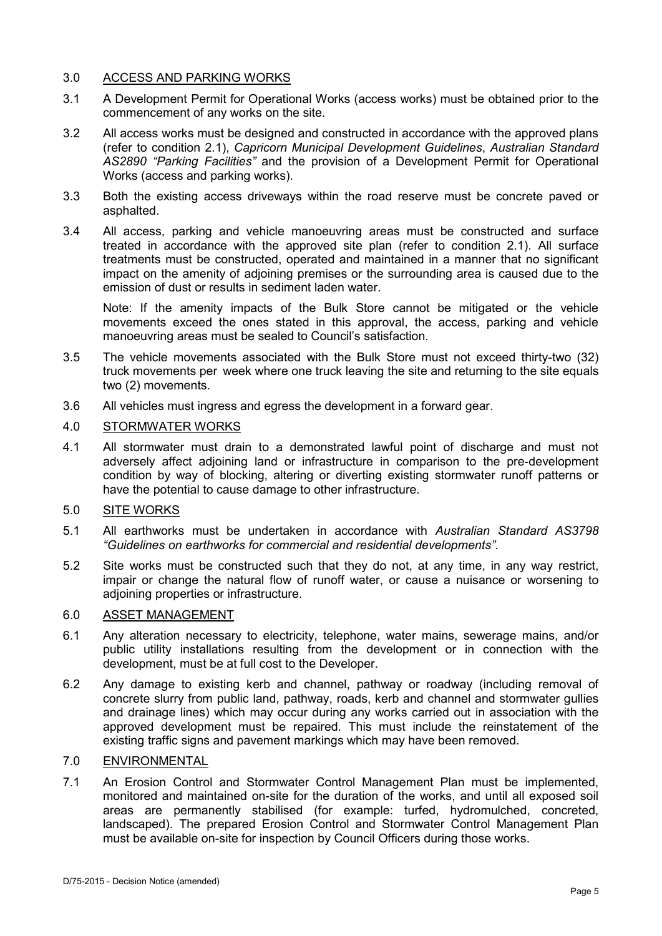# 3.0 ACCESS AND PARKING WORKS

- 3.1 A Development Permit for Operational Works (access works) must be obtained prior to the commencement of any works on the site.
- 3.2 All access works must be designed and constructed in accordance with the approved plans (refer to condition 2.1), *Capricorn Municipal Development Guidelines*, *Australian Standard AS2890 "Parking Facilities"* and the provision of a Development Permit for Operational Works (access and parking works).
- 3.3 Both the existing access driveways within the road reserve must be concrete paved or asphalted.
- 3.4 All access, parking and vehicle manoeuvring areas must be constructed and surface treated in accordance with the approved site plan (refer to condition 2.1). All surface treatments must be constructed, operated and maintained in a manner that no significant impact on the amenity of adjoining premises or the surrounding area is caused due to the emission of dust or results in sediment laden water.

Note: If the amenity impacts of the Bulk Store cannot be mitigated or the vehicle movements exceed the ones stated in this approval, the access, parking and vehicle manoeuvring areas must be sealed to Council's satisfaction.

- 3.5 The vehicle movements associated with the Bulk Store must not exceed thirty-two (32) truck movements per week where one truck leaving the site and returning to the site equals two (2) movements.
- 3.6 All vehicles must ingress and egress the development in a forward gear.

# 4.0 STORMWATER WORKS

4.1 All stormwater must drain to a demonstrated lawful point of discharge and must not adversely affect adjoining land or infrastructure in comparison to the pre-development condition by way of blocking, altering or diverting existing stormwater runoff patterns or have the potential to cause damage to other infrastructure.

# 5.0 SITE WORKS

- 5.1 All earthworks must be undertaken in accordance with *Australian Standard AS3798 "Guidelines on earthworks for commercial and residential developments"*.
- 5.2 Site works must be constructed such that they do not, at any time, in any way restrict, impair or change the natural flow of runoff water, or cause a nuisance or worsening to adjoining properties or infrastructure.

# 6.0 ASSET MANAGEMENT

- 6.1 Any alteration necessary to electricity, telephone, water mains, sewerage mains, and/or public utility installations resulting from the development or in connection with the development, must be at full cost to the Developer.
- 6.2 Any damage to existing kerb and channel, pathway or roadway (including removal of concrete slurry from public land, pathway, roads, kerb and channel and stormwater gullies and drainage lines) which may occur during any works carried out in association with the approved development must be repaired. This must include the reinstatement of the existing traffic signs and pavement markings which may have been removed.

# 7.0 ENVIRONMENTAL

7.1 An Erosion Control and Stormwater Control Management Plan must be implemented, monitored and maintained on-site for the duration of the works, and until all exposed soil areas are permanently stabilised (for example: turfed, hydromulched, concreted, landscaped). The prepared Erosion Control and Stormwater Control Management Plan must be available on-site for inspection by Council Officers during those works.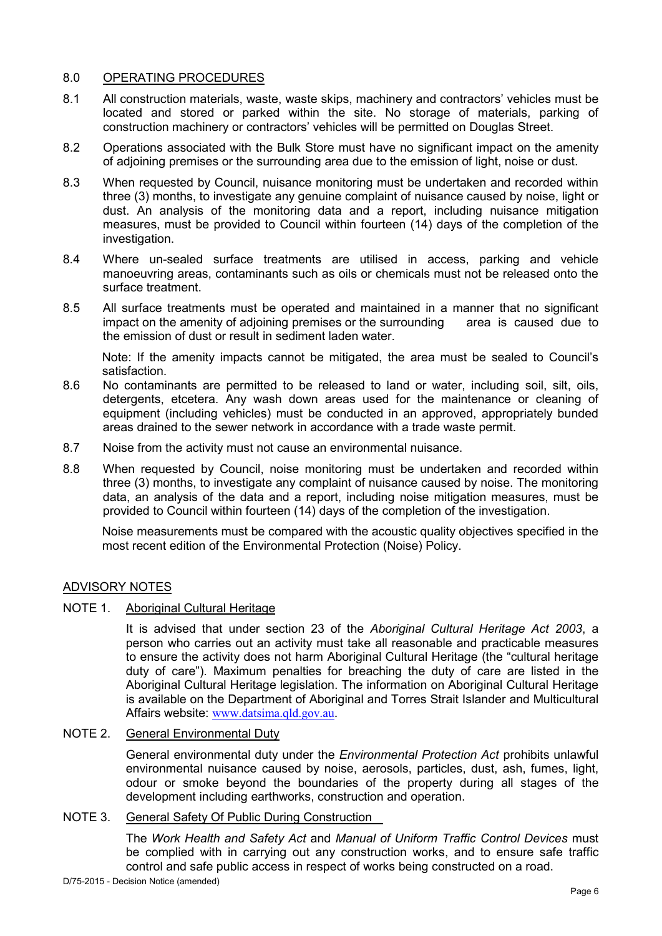# 8.0 OPERATING PROCEDURES

- 8.1 All construction materials, waste, waste skips, machinery and contractors' vehicles must be located and stored or parked within the site. No storage of materials, parking of construction machinery or contractors' vehicles will be permitted on Douglas Street.
- 8.2 Operations associated with the Bulk Store must have no significant impact on the amenity of adjoining premises or the surrounding area due to the emission of light, noise or dust.
- 8.3 When requested by Council, nuisance monitoring must be undertaken and recorded within three (3) months, to investigate any genuine complaint of nuisance caused by noise, light or dust. An analysis of the monitoring data and a report, including nuisance mitigation measures, must be provided to Council within fourteen (14) days of the completion of the investigation.
- 8.4 Where un-sealed surface treatments are utilised in access, parking and vehicle manoeuvring areas, contaminants such as oils or chemicals must not be released onto the surface treatment.
- 8.5 All surface treatments must be operated and maintained in a manner that no significant impact on the amenity of adjoining premises or the surrounding area is caused due to the emission of dust or result in sediment laden water.

Note: If the amenity impacts cannot be mitigated, the area must be sealed to Council's satisfaction.

- 8.6 No contaminants are permitted to be released to land or water, including soil, silt, oils, detergents, etcetera. Any wash down areas used for the maintenance or cleaning of equipment (including vehicles) must be conducted in an approved, appropriately bunded areas drained to the sewer network in accordance with a trade waste permit.
- 8.7 Noise from the activity must not cause an environmental nuisance.
- 8.8 When requested by Council, noise monitoring must be undertaken and recorded within three (3) months, to investigate any complaint of nuisance caused by noise. The monitoring data, an analysis of the data and a report, including noise mitigation measures, must be provided to Council within fourteen (14) days of the completion of the investigation.

Noise measurements must be compared with the acoustic quality objectives specified in the most recent edition of the Environmental Protection (Noise) Policy.

# ADVISORY NOTES

NOTE 1. Aboriginal Cultural Heritage

It is advised that under section 23 of the *Aboriginal Cultural Heritage Act 2003*, a person who carries out an activity must take all reasonable and practicable measures to ensure the activity does not harm Aboriginal Cultural Heritage (the "cultural heritage duty of care"). Maximum penalties for breaching the duty of care are listed in the Aboriginal Cultural Heritage legislation. The information on Aboriginal Cultural Heritage is available on the Department of Aboriginal and Torres Strait Islander and Multicultural Affairs website: [www.datsima.qld.gov.au](http://www.datsima.qld.gov.au/).

# NOTE 2. General Environmental Duty

General environmental duty under the *Environmental Protection Act* prohibits unlawful environmental nuisance caused by noise, aerosols, particles, dust, ash, fumes, light, odour or smoke beyond the boundaries of the property during all stages of the development including earthworks, construction and operation.

# NOTE 3. General Safety Of Public During Construction

The *Work Health and Safety Act* and *Manual of Uniform Traffic Control Devices* must be complied with in carrying out any construction works, and to ensure safe traffic control and safe public access in respect of works being constructed on a road.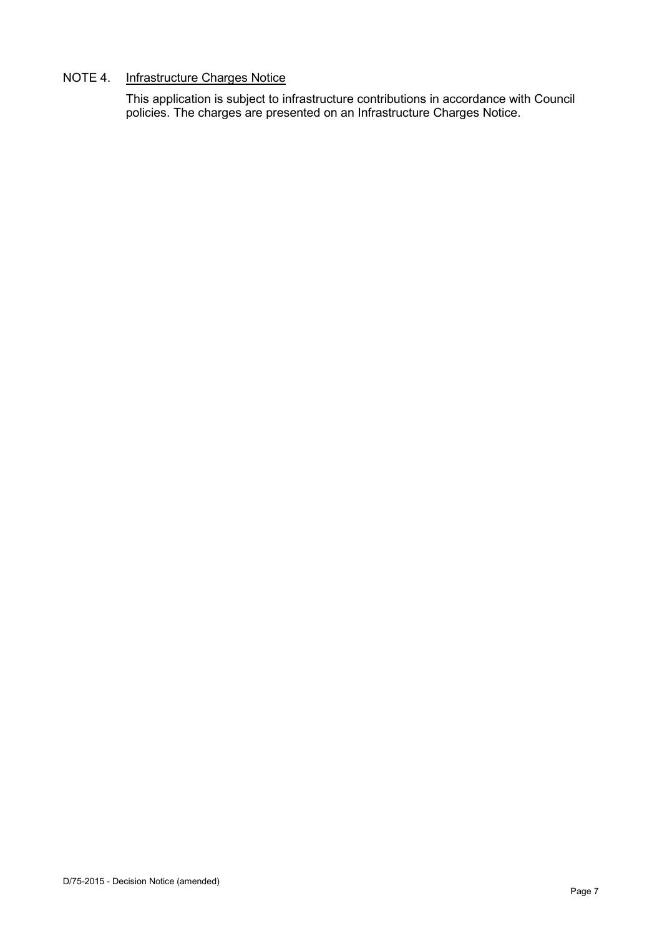# NOTE 4. Infrastructure Charges Notice

This application is subject to infrastructure contributions in accordance with Council policies. The charges are presented on an Infrastructure Charges Notice.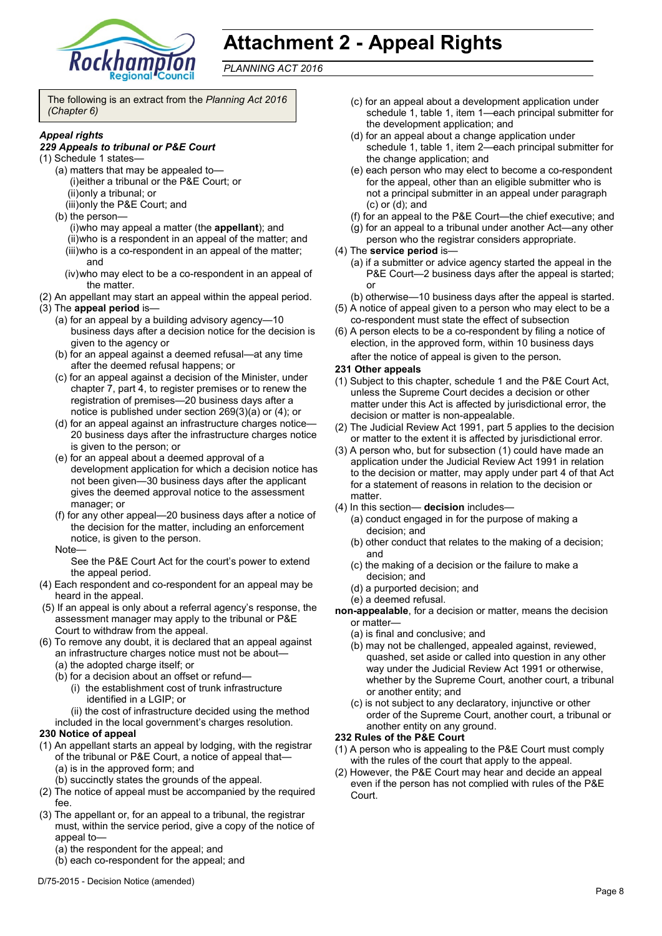

# **Attachment 2 - Appeal Rights**

*PLANNING ACT 2016*

The following is an extract from the *Planning Act 2016 (Chapter 6)*

#### *Appeal rights*

#### *229 Appeals to tribunal or P&E Court*

- (1) Schedule 1 states—
	- (a) matters that may be appealed to— (i)either a tribunal or the P&E Court; or (ii)only a tribunal; or
		- (iii)only the P&E Court; and
	- (b) the person—
		- (i)who may appeal a matter (the **appellant**); and (ii)who is a respondent in an appeal of the matter; and (iii)who is a co-respondent in an appeal of the matter; and
		- (iv)who may elect to be a co-respondent in an appeal of the matter.
- (2) An appellant may start an appeal within the appeal period.
- (3) The **appeal period** is—
	- (a) for an appeal by a building advisory agency—10 business days after a decision notice for the decision is given to the agency or
	- (b) for an appeal against a deemed refusal—at any time after the deemed refusal happens; or
	- (c) for an appeal against a decision of the Minister, under chapter 7, part 4, to register premises or to renew the registration of premises—20 business days after a notice is published under section 269(3)(a) or (4); or
	- (d) for an appeal against an infrastructure charges notice— 20 business days after the infrastructure charges notice is given to the person; or
	- (e) for an appeal about a deemed approval of a development application for which a decision notice has not been given—30 business days after the applicant gives the deemed approval notice to the assessment manager; or
	- (f) for any other appeal—20 business days after a notice of the decision for the matter, including an enforcement notice, is given to the person.
	- Note—

See the P&E Court Act for the court's power to extend the appeal period.

- (4) Each respondent and co-respondent for an appeal may be heard in the appeal.
- (5) If an appeal is only about a referral agency's response, the assessment manager may apply to the tribunal or P&E Court to withdraw from the appeal.
- (6) To remove any doubt, it is declared that an appeal against an infrastructure charges notice must not be about—
	- (a) the adopted charge itself; or
	- (b) for a decision about an offset or refund—
		- (i) the establishment cost of trunk infrastructure identified in a LGIP; or
		- (ii) the cost of infrastructure decided using the method
	- included in the local government's charges resolution.

#### **230 Notice of appeal**

- (1) An appellant starts an appeal by lodging, with the registrar of the tribunal or P&E Court, a notice of appeal that— (a) is in the approved form; and
	- (b) succinctly states the grounds of the appeal.
- (2) The notice of appeal must be accompanied by the required fee.
- (3) The appellant or, for an appeal to a tribunal, the registrar must, within the service period, give a copy of the notice of appeal to—
	- (a) the respondent for the appeal; and
	- (b) each co-respondent for the appeal; and
- (c) for an appeal about a development application under schedule 1, table 1, item 1—each principal submitter for the development application; and
- (d) for an appeal about a change application under schedule 1, table 1, item 2—each principal submitter for the change application; and
- (e) each person who may elect to become a co-respondent for the appeal, other than an eligible submitter who is not a principal submitter in an appeal under paragraph (c) or (d); and
- (f) for an appeal to the P&E Court—the chief executive; and
- (g) for an appeal to a tribunal under another Act—any other person who the registrar considers appropriate.
- (4) The **service period** is—
	- (a) if a submitter or advice agency started the appeal in the P&E Court-2 business days after the appeal is started; or
	- (b) otherwise—10 business days after the appeal is started.
- (5) A notice of appeal given to a person who may elect to be a co-respondent must state the effect of subsection
- (6) A person elects to be a co-respondent by filing a notice of election, in the approved form, within 10 business days after the notice of appeal is given to the person*.*

#### **231 Other appeals**

- (1) Subject to this chapter, schedule 1 and the P&E Court Act, unless the Supreme Court decides a decision or other matter under this Act is affected by jurisdictional error, the decision or matter is non-appealable.
- (2) The Judicial Review Act 1991, part 5 applies to the decision or matter to the extent it is affected by jurisdictional error.
- (3) A person who, but for subsection (1) could have made an application under the Judicial Review Act 1991 in relation to the decision or matter, may apply under part 4 of that Act for a statement of reasons in relation to the decision or matter.
- (4) In this section— **decision** includes—
	- (a) conduct engaged in for the purpose of making a decision; and
	- (b) other conduct that relates to the making of a decision; and
	- (c) the making of a decision or the failure to make a decision; and
	- (d) a purported decision; and
	- (e) a deemed refusal.
- **non-appealable**, for a decision or matter, means the decision or matter—
	- (a) is final and conclusive; and
	- (b) may not be challenged, appealed against, reviewed, quashed, set aside or called into question in any other way under the Judicial Review Act 1991 or otherwise, whether by the Supreme Court, another court, a tribunal or another entity; and
	- (c) is not subject to any declaratory, injunctive or other order of the Supreme Court, another court, a tribunal or another entity on any ground.

#### **232 Rules of the P&E Court**

- (1) A person who is appealing to the P&E Court must comply with the rules of the court that apply to the appeal.
- (2) However, the P&E Court may hear and decide an appeal even if the person has not complied with rules of the P&E Court.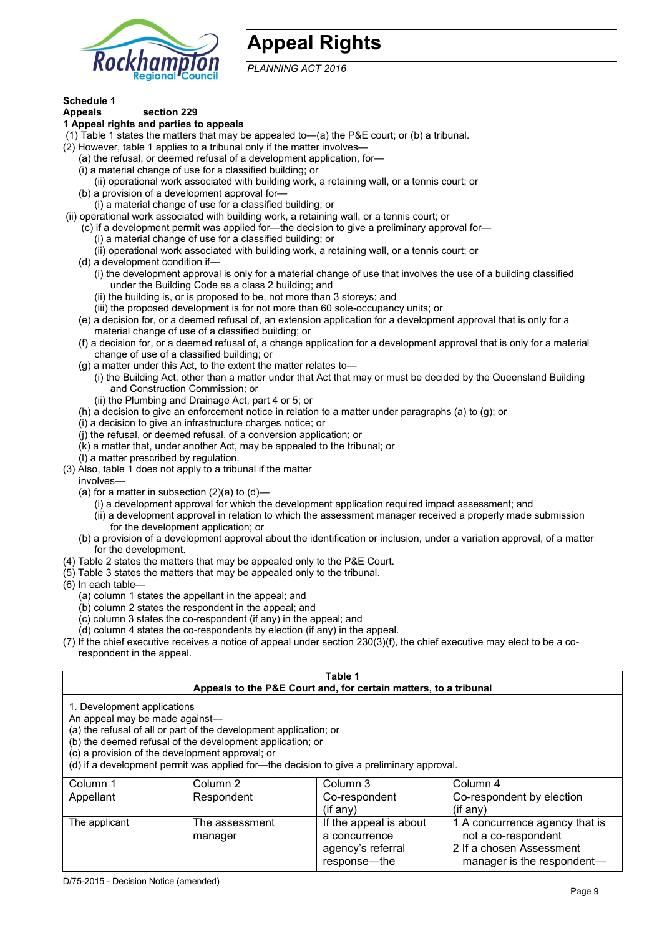

# **Appeal Rights**

*PLANNING ACT 2016*

# **Schedule 1**

#### **Appeals section 229 1 Appeal rights and parties to appeals**

- (1) Table 1 states the matters that may be appealed to—(a) the P&E court; or (b) a tribunal.
- (2) However, table 1 applies to a tribunal only if the matter involves—
	- (a) the refusal, or deemed refusal of a development application, for—
	- (i) a material change of use for a classified building; or
	- (ii) operational work associated with building work, a retaining wall, or a tennis court; or
	- (b) a provision of a development approval for—
	- (i) a material change of use for a classified building; or
- (ii) operational work associated with building work, a retaining wall, or a tennis court; or
	- (c) if a development permit was applied for—the decision to give a preliminary approval for—
		- (i) a material change of use for a classified building; or
		- (ii) operational work associated with building work, a retaining wall, or a tennis court; or
	- (d) a development condition if—
		- (i) the development approval is only for a material change of use that involves the use of a building classified under the Building Code as a class 2 building; and
		- (ii) the building is, or is proposed to be, not more than 3 storeys; and
		- (iii) the proposed development is for not more than 60 sole-occupancy units; or
	- (e) a decision for, or a deemed refusal of, an extension application for a development approval that is only for a material change of use of a classified building; or
	- (f) a decision for, or a deemed refusal of, a change application for a development approval that is only for a material change of use of a classified building; or
	- (g) a matter under this Act, to the extent the matter relates to—
		- (i) the Building Act, other than a matter under that Act that may or must be decided by the Queensland Building and Construction Commission; or
		- (ii) the Plumbing and Drainage Act, part 4 or 5; or
	- (h) a decision to give an enforcement notice in relation to a matter under paragraphs (a) to (g); or
	- (i) a decision to give an infrastructure charges notice; or
	- (j) the refusal, or deemed refusal, of a conversion application; or
	- (k) a matter that, under another Act, may be appealed to the tribunal; or
	- (l) a matter prescribed by regulation.
- (3) Also, table 1 does not apply to a tribunal if the matter
- involves—
	- (a) for a matter in subsection  $(2)(a)$  to  $(d)$ -
		- (i) a development approval for which the development application required impact assessment; and
		- (ii) a development approval in relation to which the assessment manager received a properly made submission for the development application; or
	- (b) a provision of a development approval about the identification or inclusion, under a variation approval, of a matter for the development.
- (4) Table 2 states the matters that may be appealed only to the P&E Court.
- (5) Table 3 states the matters that may be appealed only to the tribunal.
- (6) In each table—
	- (a) column 1 states the appellant in the appeal; and
	- (b) column 2 states the respondent in the appeal; and
	- (c) column 3 states the co-respondent (if any) in the appeal; and
	- (d) column 4 states the co-respondents by election (if any) in the appeal.
- (7) If the chief executive receives a notice of appeal under section 230(3)(f), the chief executive may elect to be a corespondent in the appeal.

| Table 1<br>Appeals to the P&E Court and, for certain matters, to a tribunal                                                                                                                                                                                                                                                                    |                |                        |                                |  |
|------------------------------------------------------------------------------------------------------------------------------------------------------------------------------------------------------------------------------------------------------------------------------------------------------------------------------------------------|----------------|------------------------|--------------------------------|--|
| 1. Development applications<br>An appeal may be made against-<br>(a) the refusal of all or part of the development application; or<br>(b) the deemed refusal of the development application; or<br>(c) a provision of the development approval; or<br>(d) if a development permit was applied for—the decision to give a preliminary approval. |                |                        |                                |  |
| Column 1                                                                                                                                                                                                                                                                                                                                       | Column 2       | Column 3               | Column 4                       |  |
| Appellant                                                                                                                                                                                                                                                                                                                                      | Respondent     | Co-respondent          | Co-respondent by election      |  |
|                                                                                                                                                                                                                                                                                                                                                |                | $($ if any $)$         | $(i$ f any $)$                 |  |
| The applicant                                                                                                                                                                                                                                                                                                                                  | The assessment | If the appeal is about | 1 A concurrence agency that is |  |
|                                                                                                                                                                                                                                                                                                                                                | manager        | a concurrence          | not a co-respondent            |  |
|                                                                                                                                                                                                                                                                                                                                                |                | agency's referral      | 2 If a chosen Assessment       |  |
|                                                                                                                                                                                                                                                                                                                                                |                | response—the           | manager is the respondent—     |  |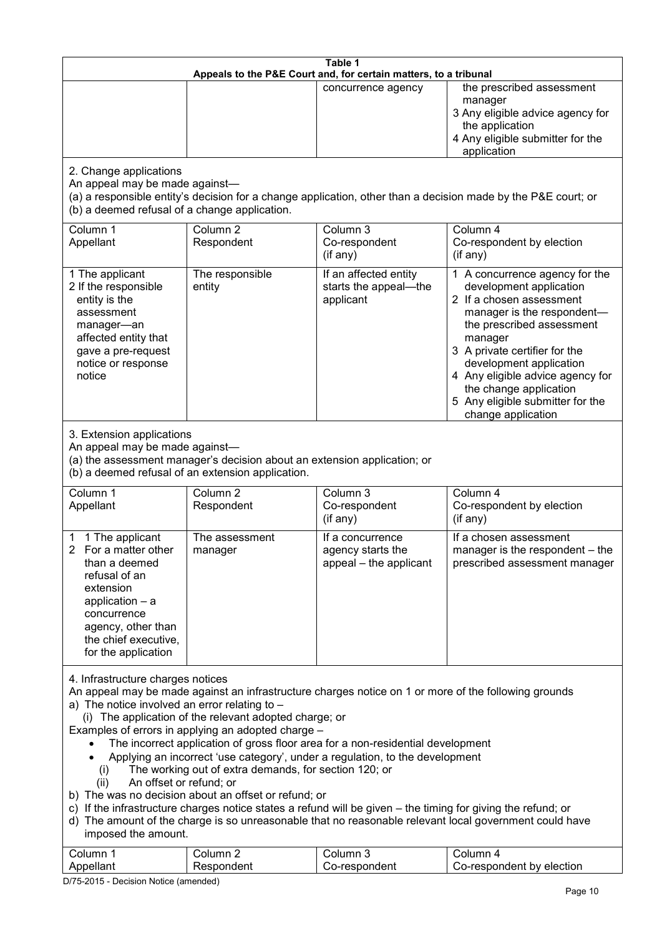| Table 1<br>Appeals to the P&E Court and, for certain matters, to a tribunal                                                                                                                                                                                                                                                                                                                                                                                                                                                                                                                                                                                                                                                                                                                                                                                                                                                                 |                                   |                                                                 |                                                                                                                                                                                                                                                                                                                                                 |
|---------------------------------------------------------------------------------------------------------------------------------------------------------------------------------------------------------------------------------------------------------------------------------------------------------------------------------------------------------------------------------------------------------------------------------------------------------------------------------------------------------------------------------------------------------------------------------------------------------------------------------------------------------------------------------------------------------------------------------------------------------------------------------------------------------------------------------------------------------------------------------------------------------------------------------------------|-----------------------------------|-----------------------------------------------------------------|-------------------------------------------------------------------------------------------------------------------------------------------------------------------------------------------------------------------------------------------------------------------------------------------------------------------------------------------------|
|                                                                                                                                                                                                                                                                                                                                                                                                                                                                                                                                                                                                                                                                                                                                                                                                                                                                                                                                             |                                   | concurrence agency                                              | the prescribed assessment<br>manager<br>3 Any eligible advice agency for<br>the application<br>4 Any eligible submitter for the<br>application                                                                                                                                                                                                  |
| 2. Change applications<br>An appeal may be made against-<br>(b) a deemed refusal of a change application.                                                                                                                                                                                                                                                                                                                                                                                                                                                                                                                                                                                                                                                                                                                                                                                                                                   |                                   |                                                                 | (a) a responsible entity's decision for a change application, other than a decision made by the P&E court; or                                                                                                                                                                                                                                   |
| Column 1<br>Appellant                                                                                                                                                                                                                                                                                                                                                                                                                                                                                                                                                                                                                                                                                                                                                                                                                                                                                                                       | Column <sub>2</sub><br>Respondent | Column 3<br>Co-respondent<br>(if any)                           | Column 4<br>Co-respondent by election<br>(if any)                                                                                                                                                                                                                                                                                               |
| 1 The applicant<br>2 If the responsible<br>entity is the<br>assessment<br>manager-an<br>affected entity that<br>gave a pre-request<br>notice or response<br>notice                                                                                                                                                                                                                                                                                                                                                                                                                                                                                                                                                                                                                                                                                                                                                                          | The responsible<br>entity         | If an affected entity<br>starts the appeal-the<br>applicant     | 1 A concurrence agency for the<br>development application<br>2 If a chosen assessment<br>manager is the respondent-<br>the prescribed assessment<br>manager<br>3 A private certifier for the<br>development application<br>4 Any eligible advice agency for<br>the change application<br>5 Any eligible submitter for the<br>change application |
| 3. Extension applications<br>An appeal may be made against-<br>(a) the assessment manager's decision about an extension application; or<br>(b) a deemed refusal of an extension application.                                                                                                                                                                                                                                                                                                                                                                                                                                                                                                                                                                                                                                                                                                                                                |                                   |                                                                 |                                                                                                                                                                                                                                                                                                                                                 |
| Column 1<br>Appellant                                                                                                                                                                                                                                                                                                                                                                                                                                                                                                                                                                                                                                                                                                                                                                                                                                                                                                                       | Column <sub>2</sub><br>Respondent | Column 3<br>Co-respondent<br>(if any)                           | Column 4<br>Co-respondent by election<br>(if any)                                                                                                                                                                                                                                                                                               |
| 1 The applicant<br>2 For a matter other<br>than a deemed<br>refusal of an<br>extension<br>application $-$ a<br>concurrence<br>agency, other than<br>the chief executive,<br>for the application                                                                                                                                                                                                                                                                                                                                                                                                                                                                                                                                                                                                                                                                                                                                             | The assessment<br>manager         | If a concurrence<br>agency starts the<br>appeal - the applicant | If a chosen assessment<br>manager is the respondent - the<br>prescribed assessment manager                                                                                                                                                                                                                                                      |
| 4. Infrastructure charges notices<br>An appeal may be made against an infrastructure charges notice on 1 or more of the following grounds<br>a) The notice involved an error relating to $-$<br>(i) The application of the relevant adopted charge; or<br>Examples of errors in applying an adopted charge -<br>The incorrect application of gross floor area for a non-residential development<br>Applying an incorrect 'use category', under a regulation, to the development<br>The working out of extra demands, for section 120; or<br>(i)<br>An offset or refund; or<br>(ii)<br>b) The was no decision about an offset or refund; or<br>c) If the infrastructure charges notice states a refund will be given – the timing for giving the refund; or<br>d) The amount of the charge is so unreasonable that no reasonable relevant local government could have<br>imposed the amount.<br>Column 3<br>Column 1<br>Column 2<br>Column 4 |                                   |                                                                 |                                                                                                                                                                                                                                                                                                                                                 |
| Appellant                                                                                                                                                                                                                                                                                                                                                                                                                                                                                                                                                                                                                                                                                                                                                                                                                                                                                                                                   | Respondent                        | Co-respondent                                                   | Co-respondent by election                                                                                                                                                                                                                                                                                                                       |

D/75-2015 - Decision Notice (amended)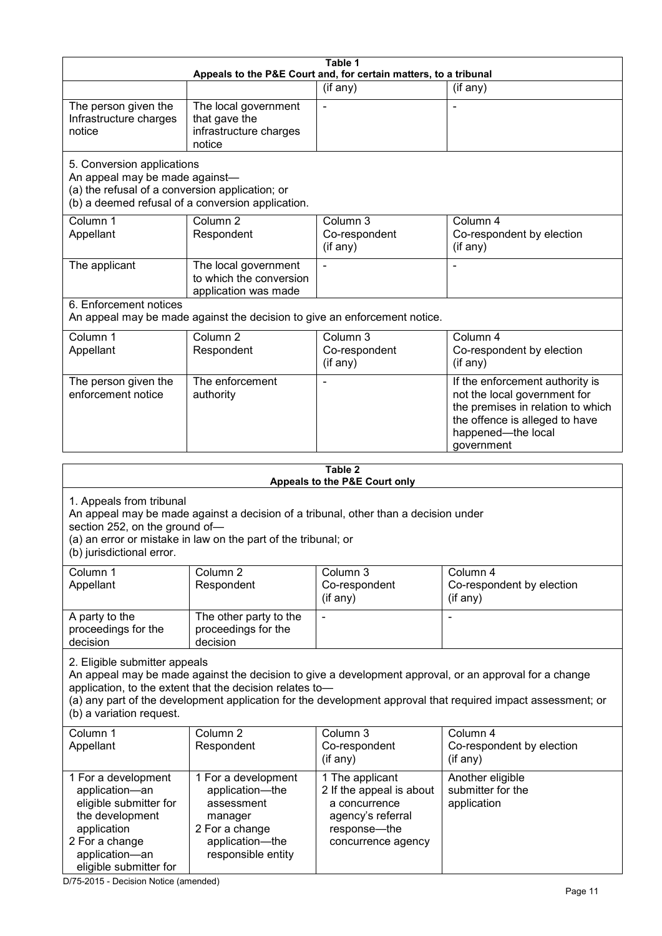| Table 1<br>Appeals to the P&E Court and, for certain matters, to a tribunal                                                                                                                                                                      |                                                                                                                            |                                                                                                                         |                                                                                                                                                                                                                        |
|--------------------------------------------------------------------------------------------------------------------------------------------------------------------------------------------------------------------------------------------------|----------------------------------------------------------------------------------------------------------------------------|-------------------------------------------------------------------------------------------------------------------------|------------------------------------------------------------------------------------------------------------------------------------------------------------------------------------------------------------------------|
|                                                                                                                                                                                                                                                  |                                                                                                                            | (if any)                                                                                                                | (if any)                                                                                                                                                                                                               |
| The person given the<br>Infrastructure charges<br>notice                                                                                                                                                                                         | The local government<br>that gave the<br>infrastructure charges<br>notice                                                  |                                                                                                                         |                                                                                                                                                                                                                        |
| 5. Conversion applications<br>An appeal may be made against-<br>(a) the refusal of a conversion application; or                                                                                                                                  | (b) a deemed refusal of a conversion application.                                                                          |                                                                                                                         |                                                                                                                                                                                                                        |
| Column 1<br>Appellant                                                                                                                                                                                                                            | Column <sub>2</sub><br>Respondent                                                                                          | Column 3<br>Co-respondent<br>(if any)                                                                                   | Column 4<br>Co-respondent by election<br>(if any)                                                                                                                                                                      |
| The applicant                                                                                                                                                                                                                                    | The local government<br>to which the conversion<br>application was made                                                    |                                                                                                                         |                                                                                                                                                                                                                        |
| 6. Enforcement notices                                                                                                                                                                                                                           | An appeal may be made against the decision to give an enforcement notice.                                                  |                                                                                                                         |                                                                                                                                                                                                                        |
| Column 1<br>Appellant                                                                                                                                                                                                                            | Column <sub>2</sub><br>Respondent                                                                                          | Column 3<br>Co-respondent<br>(if any)                                                                                   | Column 4<br>Co-respondent by election<br>(if any)                                                                                                                                                                      |
| The person given the<br>enforcement notice                                                                                                                                                                                                       | The enforcement<br>authority                                                                                               |                                                                                                                         | If the enforcement authority is<br>not the local government for<br>the premises in relation to which<br>the offence is alleged to have<br>happened-the local<br>government                                             |
|                                                                                                                                                                                                                                                  |                                                                                                                            | Table 2                                                                                                                 |                                                                                                                                                                                                                        |
|                                                                                                                                                                                                                                                  |                                                                                                                            | Appeals to the P&E Court only                                                                                           |                                                                                                                                                                                                                        |
| 1. Appeals from tribunal<br>An appeal may be made against a decision of a tribunal, other than a decision under<br>section 252, on the ground of-<br>(a) an error or mistake in law on the part of the tribunal; or<br>(b) jurisdictional error. |                                                                                                                            |                                                                                                                         |                                                                                                                                                                                                                        |
| Column 1<br>Appellant                                                                                                                                                                                                                            | Column 2<br>Respondent                                                                                                     | Column 3<br>Co-respondent<br>(if any)                                                                                   | Column 4<br>Co-respondent by election<br>(if any)                                                                                                                                                                      |
| A party to the<br>proceedings for the<br>decision                                                                                                                                                                                                | The other party to the<br>proceedings for the<br>decision                                                                  | $\blacksquare$                                                                                                          | L,                                                                                                                                                                                                                     |
| 2. Eligible submitter appeals<br>(b) a variation request.                                                                                                                                                                                        | application, to the extent that the decision relates to-                                                                   |                                                                                                                         | An appeal may be made against the decision to give a development approval, or an approval for a change<br>(a) any part of the development application for the development approval that required impact assessment; or |
| Column 1<br>Appellant                                                                                                                                                                                                                            | Column <sub>2</sub><br>Respondent                                                                                          | Column 3<br>Co-respondent<br>(if any)                                                                                   | Column 4<br>Co-respondent by election<br>(if any)                                                                                                                                                                      |
| 1 For a development<br>application-an<br>eligible submitter for<br>the development<br>application<br>2 For a change<br>application-an<br>eligible submitter for                                                                                  | 1 For a development<br>application-the<br>assessment<br>manager<br>2 For a change<br>application-the<br>responsible entity | 1 The applicant<br>2 If the appeal is about<br>a concurrence<br>agency's referral<br>response-the<br>concurrence agency | Another eligible<br>submitter for the<br>application                                                                                                                                                                   |

D/75-2015 - Decision Notice (amended)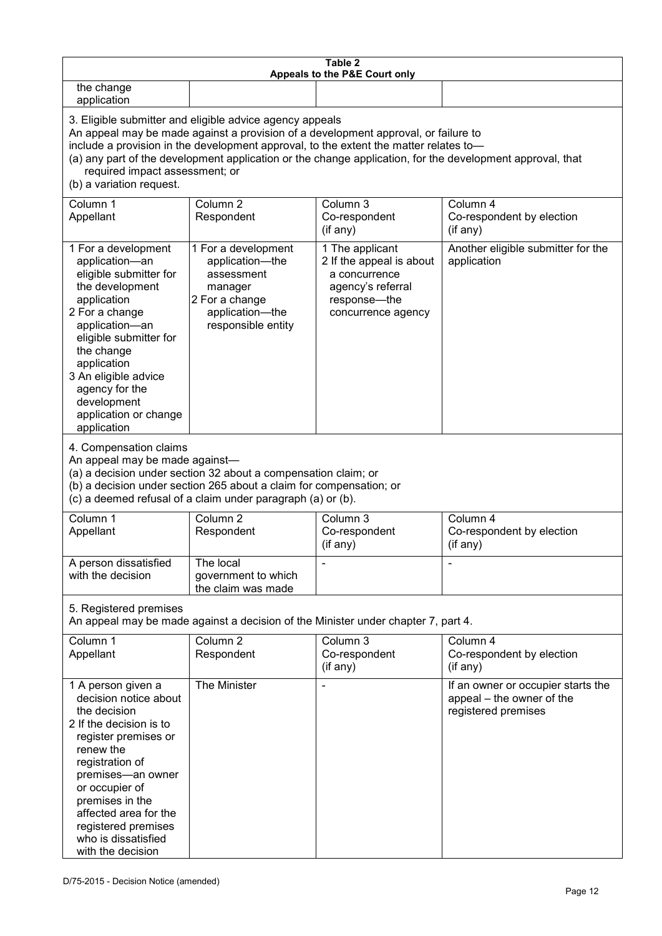| Table 2<br>Appeals to the P&E Court only                                                                                                                                                                                                                                                                                                                                                                           |                                                                                                                            |                                                                                                                         |                                                                                        |
|--------------------------------------------------------------------------------------------------------------------------------------------------------------------------------------------------------------------------------------------------------------------------------------------------------------------------------------------------------------------------------------------------------------------|----------------------------------------------------------------------------------------------------------------------------|-------------------------------------------------------------------------------------------------------------------------|----------------------------------------------------------------------------------------|
| the change<br>application                                                                                                                                                                                                                                                                                                                                                                                          |                                                                                                                            |                                                                                                                         |                                                                                        |
| 3. Eligible submitter and eligible advice agency appeals<br>An appeal may be made against a provision of a development approval, or failure to<br>include a provision in the development approval, to the extent the matter relates to-<br>(a) any part of the development application or the change application, for the development approval, that<br>required impact assessment; or<br>(b) a variation request. |                                                                                                                            |                                                                                                                         |                                                                                        |
| Column 1<br>Appellant                                                                                                                                                                                                                                                                                                                                                                                              | Column <sub>2</sub><br>Respondent                                                                                          | Column 3<br>Co-respondent<br>(if any)                                                                                   | Column 4<br>Co-respondent by election<br>(if any)                                      |
| 1 For a development<br>application-an<br>eligible submitter for<br>the development<br>application<br>2 For a change<br>application-an<br>eligible submitter for<br>the change<br>application<br>3 An eligible advice<br>agency for the<br>development<br>application or change<br>application                                                                                                                      | 1 For a development<br>application-the<br>assessment<br>manager<br>2 For a change<br>application-the<br>responsible entity | 1 The applicant<br>2 If the appeal is about<br>a concurrence<br>agency's referral<br>response-the<br>concurrence agency | Another eligible submitter for the<br>application                                      |
| 4. Compensation claims<br>An appeal may be made against-<br>(a) a decision under section 32 about a compensation claim; or<br>(b) a decision under section 265 about a claim for compensation; or<br>(c) a deemed refusal of a claim under paragraph (a) or (b).                                                                                                                                                   |                                                                                                                            |                                                                                                                         |                                                                                        |
| Column 1<br>Appellant                                                                                                                                                                                                                                                                                                                                                                                              | Column <sub>2</sub><br>Respondent                                                                                          | Column 3<br>Co-respondent<br>(if any)                                                                                   | Column 4<br>Co-respondent by election<br>(if any)                                      |
| A person dissatisfied<br>with the decision                                                                                                                                                                                                                                                                                                                                                                         | The local<br>government to which<br>the claim was made                                                                     |                                                                                                                         |                                                                                        |
| 5. Registered premises<br>An appeal may be made against a decision of the Minister under chapter 7, part 4.                                                                                                                                                                                                                                                                                                        |                                                                                                                            |                                                                                                                         |                                                                                        |
| Column 1<br>Appellant                                                                                                                                                                                                                                                                                                                                                                                              | Column <sub>2</sub><br>Respondent                                                                                          | Column 3<br>Co-respondent<br>(if any)                                                                                   | Column 4<br>Co-respondent by election<br>(if any)                                      |
| 1 A person given a<br>decision notice about<br>the decision<br>2 If the decision is to<br>register premises or<br>renew the<br>registration of<br>premises-an owner<br>or occupier of<br>premises in the<br>affected area for the<br>registered premises<br>who is dissatisfied<br>with the decision                                                                                                               | The Minister                                                                                                               |                                                                                                                         | If an owner or occupier starts the<br>appeal – the owner of the<br>registered premises |